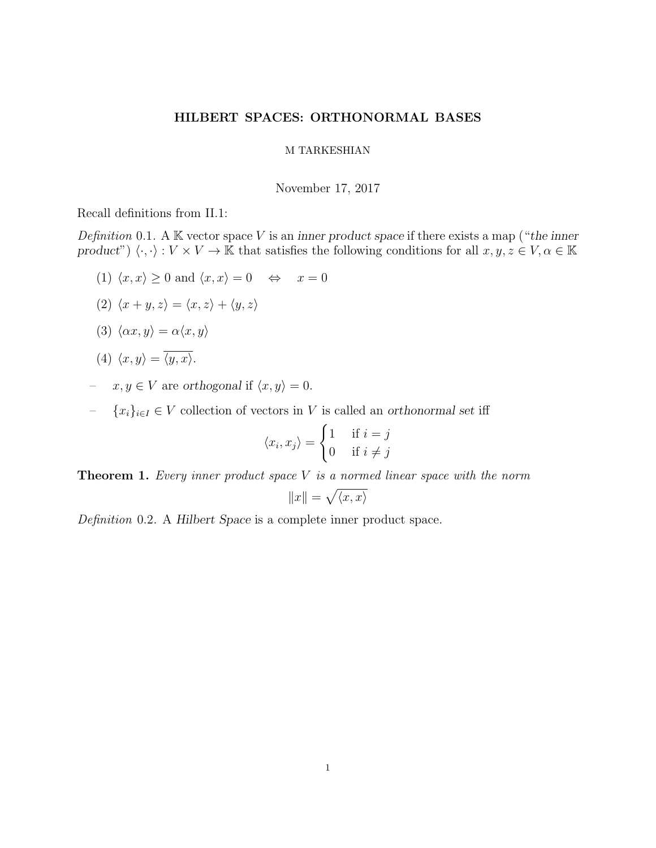# HILBERT SPACES: ORTHONORMAL BASES

#### M TARKESHIAN

November 17, 2017

Recall definitions from II.1:

Definition 0.1. A  $K$  vector space V is an inner product space if there exists a map ("the inner product")  $\langle \cdot, \cdot \rangle : V \times V \to \mathbb{K}$  that satisfies the following conditions for all  $x, y, z \in V, \alpha \in \mathbb{K}$ 

(1)  $\langle x, x \rangle \ge 0$  and  $\langle x, x \rangle = 0 \Leftrightarrow x = 0$ 

$$
(2) \langle x+y,z\rangle = \langle x,z\rangle + \langle y,z\rangle
$$

$$
(3) \langle \alpha x, y \rangle = \alpha \langle x, y \rangle
$$

(4) 
$$
\langle x, y \rangle = \langle y, x \rangle
$$
.

- −  $x, y \in V$  are orthogonal if  $\langle x, y \rangle = 0$ .
- $-$  { $x_i$ }<sub>i∈I</sub> ∈ V collection of vectors in V is called an orthonormal set iff

$$
\langle x_i, x_j \rangle = \begin{cases} 1 & \text{if } i = j \\ 0 & \text{if } i \neq j \end{cases}
$$

**Theorem 1.** Every inner product space  $V$  is a normed linear space with the norm

$$
||x|| = \sqrt{\langle x, x \rangle}
$$

Definition 0.2. A Hilbert Space is a complete inner product space.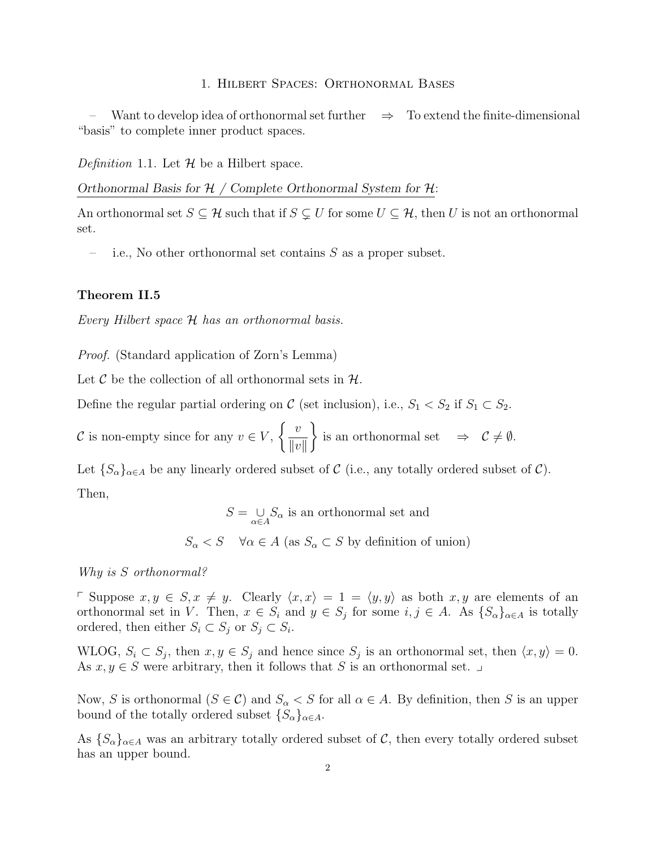#### 1. Hilbert Spaces: Orthonormal Bases

Want to develop idea of orthonormal set further  $\Rightarrow$  To extend the finite-dimensional "basis" to complete inner product spaces.

Definition 1.1. Let  $\mathcal H$  be a Hilbert space.

Orthonormal Basis for  $H /$  Complete Orthonormal System for  $H$ :

An orthonormal set  $S \subseteq \mathcal{H}$  such that if  $S \subsetneq U$  for some  $U \subseteq \mathcal{H}$ , then U is not an orthonormal set.

i.e., No other orthonormal set contains  $S$  as a proper subset.

## Theorem II.5

Every Hilbert space H has an orthonormal basis.

Proof. (Standard application of Zorn's Lemma)

Let  $\mathcal C$  be the collection of all orthonormal sets in  $\mathcal H$ .

Define the regular partial ordering on C (set inclusion), i.e.,  $S_1 < S_2$  if  $S_1 \subset S_2$ .

C is non-empty since for any  $v \in V$ ,  $\int v$  $||v||$  $\mathcal{L}$ is an orthonormal set  $\Rightarrow \mathcal{C} \neq \emptyset$ .

Let  $\{S_{\alpha}\}_{{\alpha}\in A}$  be any linearly ordered subset of C (i.e., any totally ordered subset of C). Then,

> $S = \bigcup_{\alpha \in A} S_{\alpha}$  is an orthonormal set and  $S_{\alpha} < S \quad \forall \alpha \in A \text{ (as } S_{\alpha} \subset S \text{ by definition of union)}$

Why is S orthonormal?

p Suppose  $x, y \in S, x \neq y$ . Clearly  $\langle x, x \rangle = 1 = \langle y, y \rangle$  as both  $x, y$  are elements of an orthonormal set in V. Then,  $x \in S_i$  and  $y \in S_j$  for some  $i, j \in A$ . As  $\{S_\alpha\}_{\alpha \in A}$  is totally ordered, then either  $S_i \subset S_j$  or  $S_j \subset S_i$ .

WLOG,  $S_i \subset S_j$ , then  $x, y \in S_j$  and hence since  $S_j$  is an orthonormal set, then  $\langle x, y \rangle = 0$ . As  $x, y \in S$  were arbitrary, then it follows that S is an orthonormal set.  $\Box$ 

Now, S is orthonormal  $(S \in \mathcal{C})$  and  $S_\alpha < S$  for all  $\alpha \in A$ . By definition, then S is an upper bound of the totally ordered subset  $\{S_{\alpha}\}_{{\alpha}\in A}$ .

As  $\{S_{\alpha}\}_{{\alpha}\in A}$  was an arbitrary totally ordered subset of C, then every totally ordered subset has an upper bound.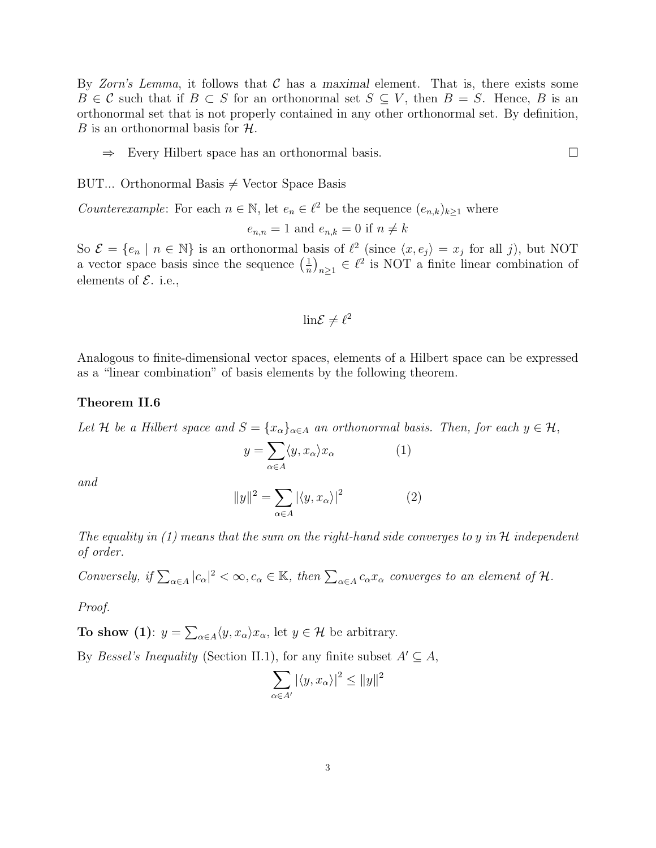By Zorn's Lemma, it follows that  $\mathcal C$  has a maximal element. That is, there exists some  $B \in \mathcal{C}$  such that if  $B \subset S$  for an orthonormal set  $S \subseteq V$ , then  $B = S$ . Hence, B is an orthonormal set that is not properly contained in any other orthonormal set. By definition, B is an orthonormal basis for  $H$ .

⇒ Every Hilbert space has an orthonormal basis.

BUT... Orthonormal Basis  $\neq$  Vector Space Basis

*Counterexample*: For each  $n \in \mathbb{N}$ , let  $e_n \in \ell^2$  be the sequence  $(e_{n,k})_{k\geq 1}$  where

 $e_{n,n} = 1$  and  $e_{n,k} = 0$  if  $n \neq k$ 

So  $\mathcal{E} = \{e_n \mid n \in \mathbb{N}\}\$ is an orthonormal basis of  $\ell^2$  (since  $\langle x, e_j \rangle = x_j$  for all j), but NOT a vector space basis since the sequence  $\left(\frac{1}{n}\right)$  $\left(\frac{1}{n}\right)_{n\geq 1} \in \ell^2$  is NOT a finite linear combination of elements of  $\mathcal{E}$ . i.e.,

$$
\mathrm{lin}\mathcal{E}\neq\ell^2
$$

Analogous to finite-dimensional vector spaces, elements of a Hilbert space can be expressed as a "linear combination" of basis elements by the following theorem.

#### Theorem II.6

Let H be a Hilbert space and  $S = \{x_{\alpha}\}_{{\alpha \in A}}$  an orthonormal basis. Then, for each  $y \in H$ ,

$$
y = \sum_{\alpha \in A} \langle y, x_{\alpha} \rangle x_{\alpha} \tag{1}
$$

and

$$
||y||^2 = \sum_{\alpha \in A} |\langle y, x_\alpha \rangle|^2 \tag{2}
$$

The equality in  $(1)$  means that the sum on the right-hand side converges to y in H independent of order.

Conversely, if  $\sum_{\alpha\in A} |c_{\alpha}|^2 < \infty$ ,  $c_{\alpha} \in \mathbb{K}$ , then  $\sum_{\alpha\in A} c_{\alpha}x_{\alpha}$  converges to an element of  $\mathcal{H}$ .

Proof.

**To show** (1):  $y = \sum_{\alpha \in A} \langle y, x_{\alpha} \rangle x_{\alpha}$ , let  $y \in \mathcal{H}$  be arbitrary.

By *Bessel's Inequality* (Section II.1), for any finite subset  $A' \subseteq A$ ,

$$
\sum_{\alpha \in A'} |\langle y, x_\alpha \rangle|^2 \le ||y||^2
$$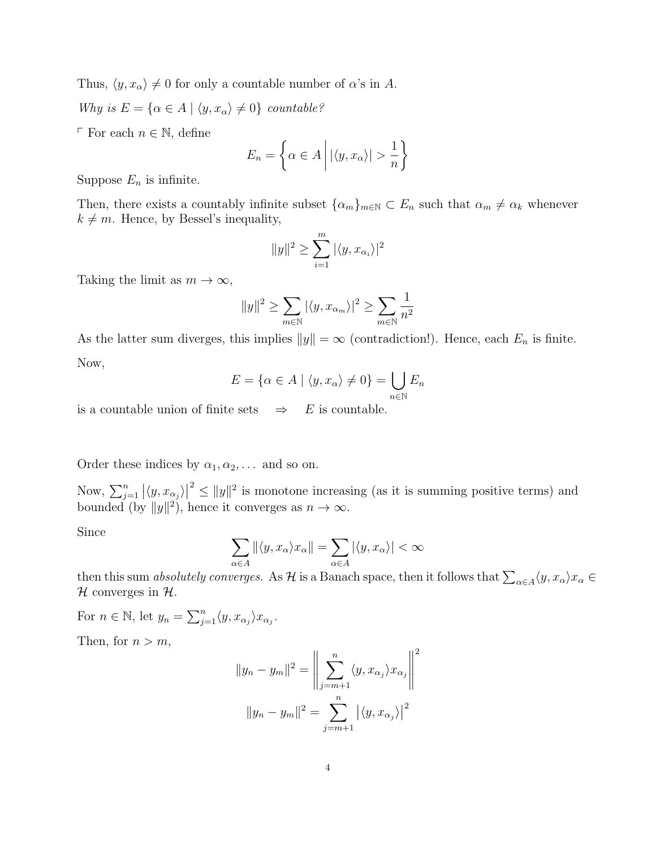Thus,  $\langle y, x_\alpha \rangle \neq 0$  for only a countable number of  $\alpha$ 's in A.

Why is  $E = {\alpha \in A | \langle y, x_{\alpha} \rangle \neq 0}$  countable?

 $\ulcorner$  For each  $n \in \mathbb{N}$ , define

$$
E_n = \left\{ \alpha \in A \mid |\langle y, x_\alpha \rangle| > \frac{1}{n} \right\}
$$

Suppose  $E_n$  is infinite.

Then, there exists a countably infinite subset  $\{\alpha_m\}_{m\in\mathbb{N}} \subset E_n$  such that  $\alpha_m \neq \alpha_k$  whenever  $k \neq m$ . Hence, by Bessel's inequality,

$$
||y||^2 \ge \sum_{i=1}^m |\langle y, x_{\alpha_i} \rangle|^2
$$

Taking the limit as  $m \to \infty$ ,

$$
||y||^2 \ge \sum_{m \in \mathbb{N}} |\langle y, x_{\alpha_m} \rangle|^2 \ge \sum_{m \in \mathbb{N}} \frac{1}{n^2}
$$

As the latter sum diverges, this implies  $||y|| = \infty$  (contradiction!). Hence, each  $E_n$  is finite. Now,

$$
E = \{ \alpha \in A \mid \langle y, x_{\alpha} \rangle \neq 0 \} = \bigcup_{n \in \mathbb{N}} E_n
$$

is a countable union of finite sets  $\Rightarrow$  E is countable.

Order these indices by  $\alpha_1, \alpha_2, \ldots$  and so on.

Now,  $\sum_{j=1}^{n} |\langle y, x_{\alpha_j} \rangle|$  $2 \le ||y||^2$  is monotone increasing (as it is summing positive terms) and bounded (by  $||y||^2$ ), hence it converges as  $n \to \infty$ .

Since

$$
\sum_{\alpha \in A} ||\langle y, x_{\alpha} \rangle x_{\alpha}|| = \sum_{\alpha \in A} |\langle y, x_{\alpha} \rangle| < \infty
$$

then this sum *absolutely converges.* As  $H$  is a Banach space, then it follows that  $\sum_{\alpha\in A}\langle y,x_\alpha\rangle x_\alpha\in$  $\mathcal H$  converges in  $\mathcal H$ .

For  $n \in \mathbb{N}$ , let  $y_n = \sum_{j=1}^n \langle y, x_{\alpha_j} \rangle x_{\alpha_j}$ .

Then, for  $n > m$ ,

$$
||y_n - y_m||^2 = \left\| \sum_{j=m+1}^n \langle y, x_{\alpha_j} \rangle x_{\alpha_j} \right\|^2
$$

$$
||y_n - y_m||^2 = \sum_{j=m+1}^n |\langle y, x_{\alpha_j} \rangle|^2
$$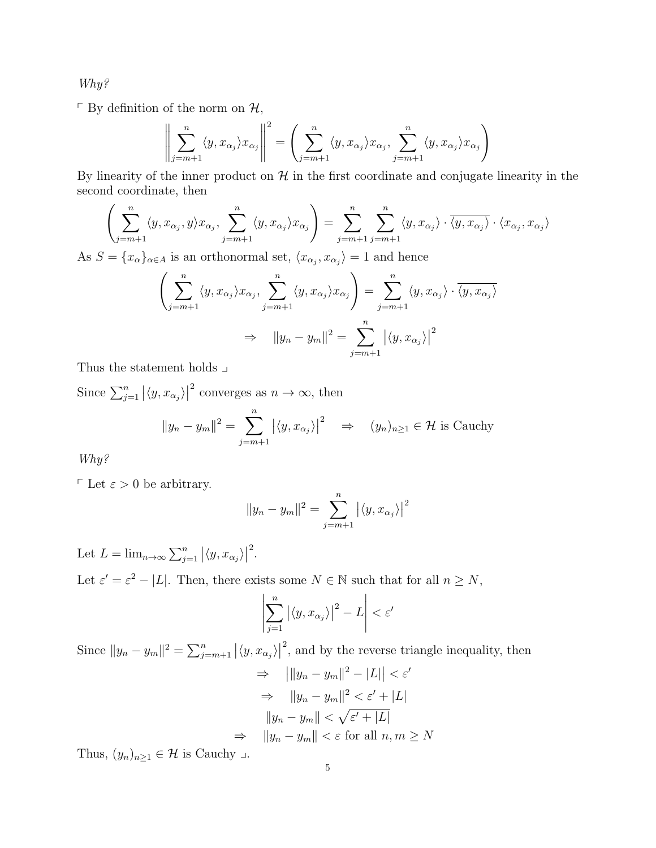Why?

 $\ulcorner$  By definition of the norm on  $\mathcal{H},$ 

$$
\left\| \sum_{j=m+1}^{n} \langle y, x_{\alpha_j} \rangle x_{\alpha_j} \right\|^2 = \left( \sum_{j=m+1}^{n} \langle y, x_{\alpha_j} \rangle x_{\alpha_j}, \sum_{j=m+1}^{n} \langle y, x_{\alpha_j} \rangle x_{\alpha_j} \right)
$$

By linearity of the inner product on  $H$  in the first coordinate and conjugate linearity in the second coordinate, then

$$
\left(\sum_{j=m+1}^{n} \langle y, x_{\alpha_j}, y \rangle x_{\alpha_j}, \sum_{j=m+1}^{n} \langle y, x_{\alpha_j} \rangle x_{\alpha_j}\right) = \sum_{j=m+1}^{n} \sum_{j=m+1}^{n} \langle y, x_{\alpha_j} \rangle \cdot \overline{\langle y, x_{\alpha_j} \rangle} \cdot \langle x_{\alpha_j}, x_{\alpha_j} \rangle
$$

As  $S = \{x_{\alpha}\}_{{\alpha \in A}}$  is an orthonormal set,  $\langle x_{\alpha_j}, x_{\alpha_j} \rangle = 1$  and hence

$$
\left(\sum_{j=m+1}^{n} \langle y, x_{\alpha_j} \rangle x_{\alpha_j}, \sum_{j=m+1}^{n} \langle y, x_{\alpha_j} \rangle x_{\alpha_j}\right) = \sum_{j=m+1}^{n} \langle y, x_{\alpha_j} \rangle \cdot \overline{\langle y, x_{\alpha_j} \rangle}
$$
  

$$
\Rightarrow ||y_n - y_m||^2 = \sum_{j=m+1}^{n} |\langle y, x_{\alpha_j} \rangle|^2
$$

Thus the statement holds  $\lrcorner$ 

Since  $\sum_{j=1}^{n} |\langle y, x_{\alpha_j} \rangle|$ <sup>2</sup> converges as  $n \to \infty$ , then

$$
||y_n - y_m||^2 = \sum_{j=m+1}^n |\langle y, x_{\alpha_j} \rangle|^2 \quad \Rightarrow \quad (y_n)_{n \ge 1} \in \mathcal{H} \text{ is Cauchy}
$$

Why?

 $\ulcorner$  Let  $\varepsilon > 0$  be arbitrary.

$$
||y_n - y_m||^2 = \sum_{j=m+1}^n |\langle y, x_{\alpha_j} \rangle|^2
$$

Let  $L = \lim_{n \to \infty} \sum_{j=1}^{n} |\langle y, x_{\alpha_j} \rangle|$ 2 .

Let  $\varepsilon' = \varepsilon^2 - |L|$ . Then, there exists some  $N \in \mathbb{N}$  such that for all  $n \geq N$ ,

$$
\left|\sum_{j=1}^{n} \left| \langle y, x_{\alpha_j} \rangle \right|^2 - L \right| < \varepsilon'
$$

Since  $||y_n - y_m||^2 = \sum_{j=m+1}^n |\langle y, x_{\alpha_j} \rangle|$ <sup>2</sup>, and by the reverse triangle inequality, then  $\Rightarrow$   $||y_n - y_m||^2 - |L|| < \varepsilon'$  $\Rightarrow$   $||y_n - y_m||^2 < \varepsilon' + |L|$ 

$$
||y_n - y_m|| < \sqrt{\varepsilon' + |L|}
$$
  
\n
$$
\Rightarrow ||y_n - y_m|| < \varepsilon \text{ for all } n, m \ge N
$$

Thus,  $(y_n)_{n\geq 1} \in \mathcal{H}$  is Cauchy  $\Box$ .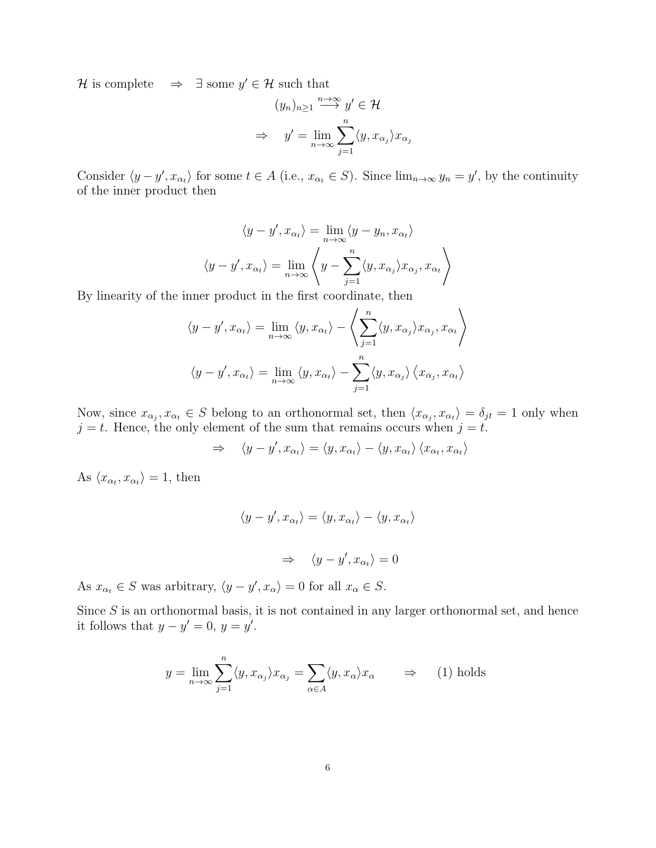$\mathcal{H}$  is complete  $\Rightarrow \exists$  some  $y' \in \mathcal{H}$  such that

$$
(y_n)_{n\geq 1} \xrightarrow{n\to\infty} y' \in \mathcal{H}
$$

$$
\Rightarrow \quad y' = \lim_{n\to\infty} \sum_{j=1}^n \langle y, x_{\alpha_j} \rangle x_{\alpha_j}
$$

Consider  $\langle y - y', x_{\alpha_t} \rangle$  for some  $t \in A$  (i.e.,  $x_{\alpha_t} \in S$ ). Since  $\lim_{n \to \infty} y_n = y'$ , by the continuity of the inner product then

$$
\langle y - y', x_{\alpha_t} \rangle = \lim_{n \to \infty} \langle y - y_n, x_{\alpha_t} \rangle
$$

$$
\langle y - y', x_{\alpha_t} \rangle = \lim_{n \to \infty} \left\langle y - \sum_{j=1}^n \langle y, x_{\alpha_j} \rangle x_{\alpha_j}, x_{\alpha_t} \right\rangle
$$

By linearity of the inner product in the first coordinate, then

$$
\langle y - y', x_{\alpha_t} \rangle = \lim_{n \to \infty} \langle y, x_{\alpha_t} \rangle - \left\langle \sum_{j=1}^n \langle y, x_{\alpha_j} \rangle x_{\alpha_j}, x_{\alpha_t} \right\rangle
$$

$$
\langle y - y', x_{\alpha_t} \rangle = \lim_{n \to \infty} \langle y, x_{\alpha_t} \rangle - \sum_{j=1}^n \langle y, x_{\alpha_j} \rangle \langle x_{\alpha_j}, x_{\alpha_t} \rangle
$$

Now, since  $x_{\alpha_j}, x_{\alpha_t} \in S$  belong to an orthonormal set, then  $\langle x_{\alpha_j}, x_{\alpha_t} \rangle = \delta_{jt} = 1$  only when  $j = t$ . Hence, the only element of the sum that remains occurs when  $j = t$ .

$$
\Rightarrow \quad \langle y - y', x_{\alpha_t} \rangle = \langle y, x_{\alpha_t} \rangle - \langle y, x_{\alpha_t} \rangle \langle x_{\alpha_t}, x_{\alpha_t} \rangle
$$

As  $\langle x_{\alpha_t}, x_{\alpha_t} \rangle = 1$ , then

$$
\langle y - y', x_{\alpha_t} \rangle = \langle y, x_{\alpha_t} \rangle - \langle y, x_{\alpha_t} \rangle
$$

$$
\Rightarrow \langle y - y', x_{\alpha_t} \rangle = 0
$$

As  $x_{\alpha_t} \in S$  was arbitrary,  $\langle y - y', x_{\alpha} \rangle = 0$  for all  $x_{\alpha} \in S$ .

Since  $S$  is an orthonormal basis, it is not contained in any larger orthonormal set, and hence it follows that  $y - y' = 0$ ,  $y = y'$ .

$$
y = \lim_{n \to \infty} \sum_{j=1}^{n} \langle y, x_{\alpha_j} \rangle x_{\alpha_j} = \sum_{\alpha \in A} \langle y, x_{\alpha} \rangle x_{\alpha} \qquad \Rightarrow \qquad (1) \text{ holds}
$$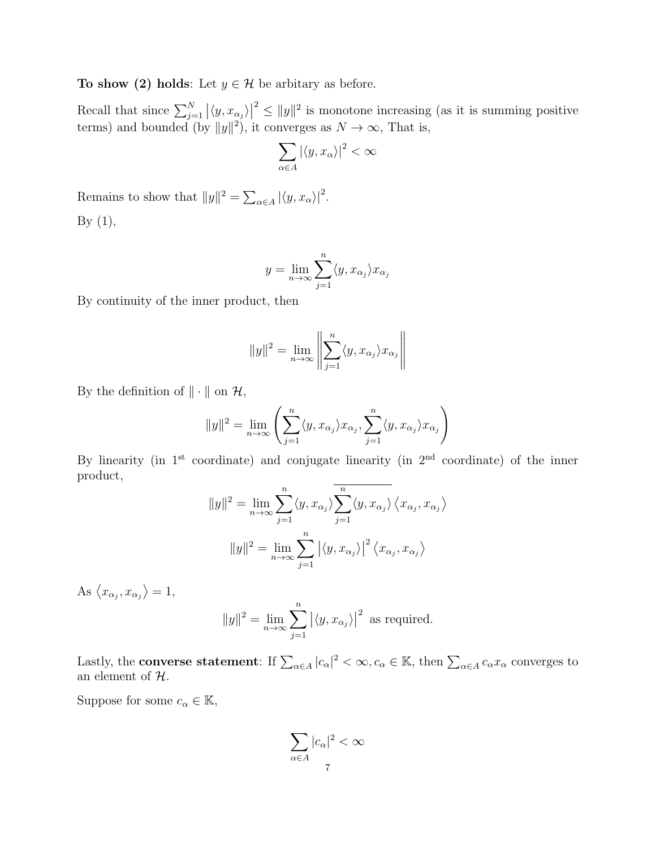To show (2) holds: Let  $y \in \mathcal{H}$  be arbitary as before.

Recall that since  $\sum_{j=1}^{N} |\langle y, x_{\alpha_j} \rangle|$  $2 \le ||y||^2$  is monotone increasing (as it is summing positive terms) and bounded (by  $||y||^2$ ), it converges as  $N \to \infty$ , That is,

$$
\sum_{\alpha \in A} |\langle y, x_\alpha\rangle|^2 < \infty
$$

Remains to show that  $||y||^2 = \sum_{\alpha \in A} |\langle y, x_{\alpha} \rangle|^2$ . By  $(1)$ ,

$$
y = \lim_{n \to \infty} \sum_{j=1}^{n} \langle y, x_{\alpha_j} \rangle x_{\alpha_j}
$$

By continuity of the inner product, then

$$
||y||^2 = \lim_{n \to \infty} \left\| \sum_{j=1}^n \langle y, x_{\alpha_j} \rangle x_{\alpha_j} \right\|
$$

By the definition of  $\|\cdot\|$  on  $\mathcal{H},$ 

$$
||y||^2 = \lim_{n \to \infty} \left( \sum_{j=1}^n \langle y, x_{\alpha_j} \rangle x_{\alpha_j}, \sum_{j=1}^n \langle y, x_{\alpha_j} \rangle x_{\alpha_j} \right)
$$

By linearity (in  $1<sup>st</sup>$  coordinate) and conjugate linearity (in  $2<sup>nd</sup>$  coordinate) of the inner product,

$$
||y||^2 = \lim_{n \to \infty} \sum_{j=1}^n \langle y, x_{\alpha_j} \rangle \overline{\sum_{j=1}^n \langle y, x_{\alpha_j} \rangle} \langle x_{\alpha_j}, x_{\alpha_j} \rangle
$$

$$
||y||^2 = \lim_{n \to \infty} \sum_{j=1}^n |\langle y, x_{\alpha_j} \rangle|^2 \langle x_{\alpha_j}, x_{\alpha_j} \rangle
$$

As  $\langle x_{\alpha_j}, x_{\alpha_j} \rangle = 1$ ,

$$
||y||^2 = \lim_{n \to \infty} \sum_{j=1}^n |\langle y, x_{\alpha_j} \rangle|^2
$$
 as required.

Lastly, the **converse statement**: If  $\sum_{\alpha \in A} |c_{\alpha}|^2 < \infty, c_{\alpha} \in \mathbb{K}$ , then  $\sum_{\alpha \in A} c_{\alpha} x_{\alpha}$  converges to an element of  $H$ .

Suppose for some  $c_{\alpha} \in \mathbb{K}$ ,

$$
\sum_{\alpha \in A} |c_{\alpha}|^2 < \infty
$$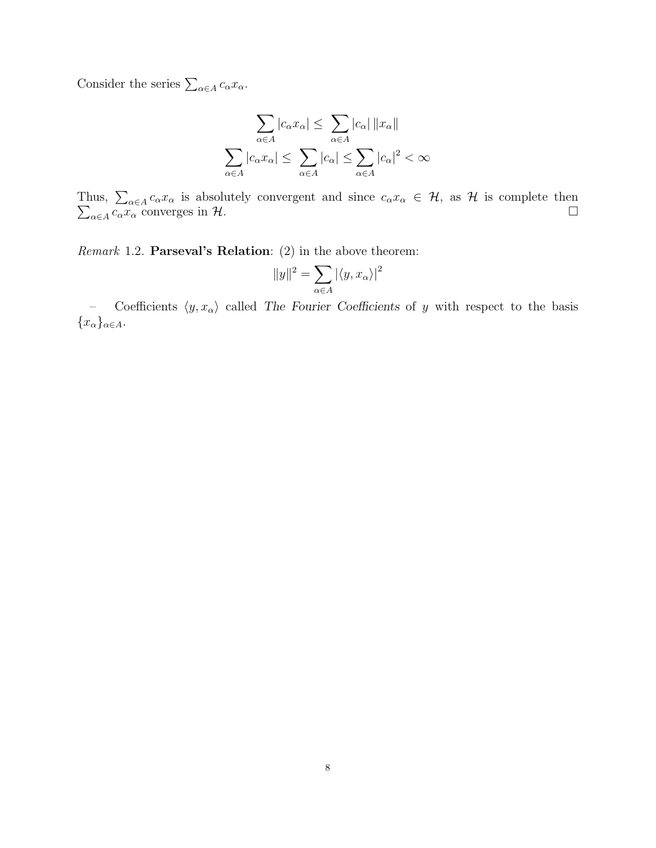Consider the series  $\sum_{\alpha \in A} c_{\alpha} x_{\alpha}$ .

$$
\sum_{\alpha \in A} |c_{\alpha} x_{\alpha}| \leq \sum_{\alpha \in A} |c_{\alpha}| \|x_{\alpha}\|
$$

$$
\sum_{\alpha \in A} |c_{\alpha} x_{\alpha}| \leq \sum_{\alpha \in A} |c_{\alpha}| \leq \sum_{\alpha \in A} |c_{\alpha}|^2 < \infty
$$

Thus,  $\sum_{\alpha \in A} c_{\alpha} x_{\alpha}$  c  $c_{\alpha}x_{\alpha}$  is absolutely convergent and since  $c_{\alpha}x_{\alpha} \in \mathcal{H}$ , as  $\mathcal{H}$  is complete then  $\alpha \in A$   $c_{\alpha} x_{\alpha}$  converges in H.

*Remark* 1.2. **Parseval's Relation**:  $(2)$  in the above theorem:

$$
||y||^2 = \sum_{\alpha \in A} |\langle y, x_\alpha \rangle|^2
$$

– Coefficients  $\langle y, x_\alpha \rangle$  called The Fourier Coefficients of y with respect to the basis  ${x_{\alpha}}_{\alpha\in A}$ .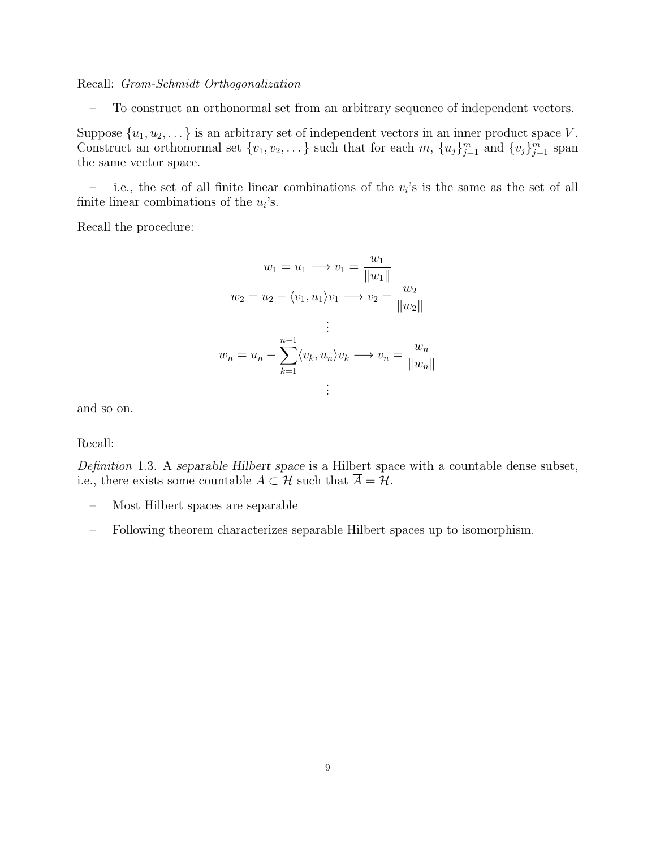Recall: Gram-Schmidt Orthogonalization

– To construct an orthonormal set from an arbitrary sequence of independent vectors.

Suppose  $\{u_1, u_2, \dots\}$  is an arbitrary set of independent vectors in an inner product space V. Construct an orthonormal set  $\{v_1, v_2, \dots\}$  such that for each m,  $\{u_j\}_{j=1}^m$  and  $\{v_j\}_{j=1}^m$  span the same vector space.

- i.e., the set of all finite linear combinations of the  $v_i$ 's is the same as the set of all finite linear combinations of the  $u_i$ 's.

Recall the procedure:

$$
w_1 = u_1 \longrightarrow v_1 = \frac{w_1}{\|w_1\|}
$$
  

$$
w_2 = u_2 - \langle v_1, u_1 \rangle v_1 \longrightarrow v_2 = \frac{w_2}{\|w_2\|}
$$
  

$$
\vdots
$$
  

$$
w_n = u_n - \sum_{k=1}^{n-1} \langle v_k, u_n \rangle v_k \longrightarrow v_n = \frac{w_n}{\|w_n\|}
$$
  

$$
\vdots
$$

and so on.

Recall:

Definition 1.3. A separable Hilbert space is a Hilbert space with a countable dense subset, i.e., there exists some countable  $A \subset \mathcal{H}$  such that  $\overline{A} = \overline{\mathcal{H}}$ .

- Most Hilbert spaces are separable
- Following theorem characterizes separable Hilbert spaces up to isomorphism.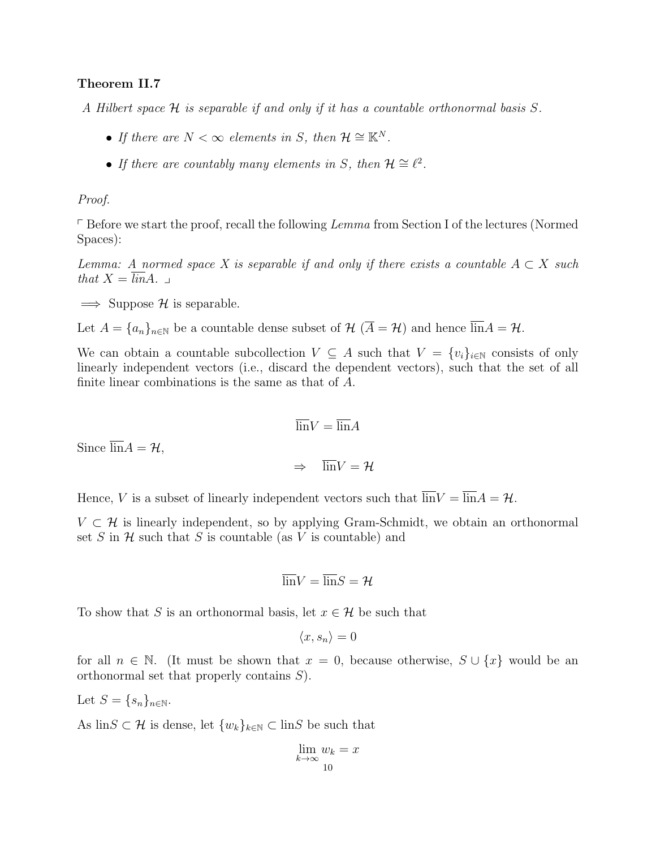## Theorem II.7

A Hilbert space H is separable if and only if it has a countable orthonormal basis S.

- If there are  $N < \infty$  elements in S, then  $\mathcal{H} \cong \mathbb{K}^N$ .
- If there are countably many elements in S, then  $\mathcal{H} \cong \ell^2$ .

### Proof.

 $\ulcorner$  Before we start the proof, recall the following Lemma from Section I of the lectures (Normed Spaces):

Lemma: A normed space X is separable if and only if there exists a countable  $A \subset X$  such that  $X = \overline{lin}A$ .

 $\implies$  Suppose H is separable.

Let  $A = \{a_n\}_{n\in\mathbb{N}}$  be a countable dense subset of  $\mathcal{H}(\overline{A} = \mathcal{H})$  and hence  $\overline{\text{lin}}A = \mathcal{H}$ .

We can obtain a countable subcollection  $V \subseteq A$  such that  $V = \{v_i\}_{i \in \mathbb{N}}$  consists of only linearly independent vectors (i.e., discard the dependent vectors), such that the set of all finite linear combinations is the same as that of A.

$$
\overline{\lim} V = \overline{\lim} A
$$

$$
\Rightarrow \quad \overline{\lim} V = \mathcal{H}
$$

Hence, V is a subset of linearly independent vectors such that  $\overline{\text{lin}}V = \overline{\text{lin}}A = \mathcal{H}$ .

 $V \subset \mathcal{H}$  is linearly independent, so by applying Gram-Schmidt, we obtain an orthonormal set S in  $\mathcal H$  such that S is countable (as V is countable) and

$$
\overline{\lim}V = \overline{\lim}S = \mathcal{H}
$$

To show that S is an orthonormal basis, let  $x \in \mathcal{H}$  be such that

$$
\langle x, s_n \rangle = 0
$$

for all  $n \in \mathbb{N}$ . (It must be shown that  $x = 0$ , because otherwise,  $S \cup \{x\}$  would be an orthonormal set that properly contains S).

Let 
$$
S = \{s_n\}_{n \in \mathbb{N}}
$$
.

Since  $\overline{\lim} A = \mathcal{H}$ ,

As lin $S \subset \mathcal{H}$  is dense, let  $\{w_k\}_{k \in \mathbb{N}} \subset \text{lin}S$  be such that

$$
\lim_{k \to \infty} w_k = x
$$
  
10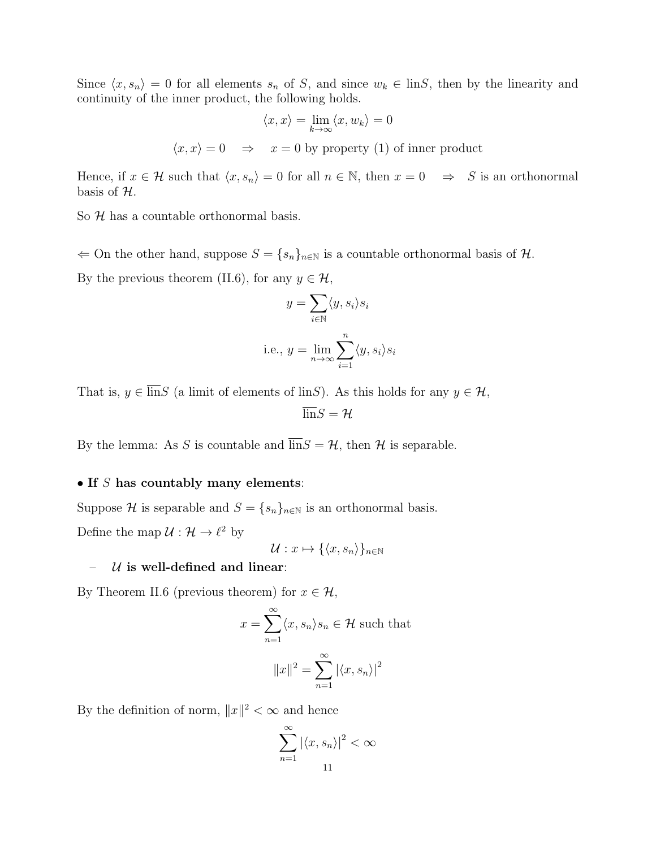Since  $\langle x, s_n \rangle = 0$  for all elements  $s_n$  of S, and since  $w_k \in \text{lin}S$ , then by the linearity and continuity of the inner product, the following holds.

$$
\langle x, x \rangle = \lim_{k \to \infty} \langle x, w_k \rangle = 0
$$
  

$$
\langle x, x \rangle = 0 \Rightarrow x = 0 \text{ by property (1) of inner product}
$$

Hence, if  $x \in \mathcal{H}$  such that  $\langle x, s_n \rangle = 0$  for all  $n \in \mathbb{N}$ , then  $x = 0 \Rightarrow S$  is an orthonormal basis of  $H$ .

So  $H$  has a countable orthonormal basis.

 $\Leftarrow$  On the other hand, suppose  $S = \{s_n\}_{n \in \mathbb{N}}$  is a countable orthonormal basis of  $\mathcal{H}$ . By the previous theorem (II.6), for any  $y \in \mathcal{H}$ ,

$$
y = \sum_{i \in \mathbb{N}} \langle y, s_i \rangle s_i
$$
  
i.e.,  $y = \lim_{n \to \infty} \sum_{i=1}^n \langle y, s_i \rangle s_i$ 

That is,  $y \in \overline{\text{lin}}S$  (a limit of elements of linS). As this holds for any  $y \in \mathcal{H}$ ,

 $\overline{\lim}S = H$ 

By the lemma: As S is countable and  $\overline{\text{lin}}S = \mathcal{H}$ , then  $\mathcal{H}$  is separable.

#### • If  $S$  has countably many elements:

Suppose H is separable and  $S = \{s_n\}_{n \in \mathbb{N}}$  is an orthonormal basis. Define the map  $\mathcal{U}: \mathcal{H} \to \ell^2$  by

 $\mathcal{U}: x \mapsto {\langle x, s_n \rangle}_{n \in \mathbb{N}}$ 

# –  $U$  is well-defined and linear:

By Theorem II.6 (previous theorem) for  $x \in \mathcal{H}$ ,

$$
x = \sum_{n=1}^{\infty} \langle x, s_n \rangle s_n \in \mathcal{H} \text{ such that}
$$

$$
||x||^2 = \sum_{n=1}^{\infty} |\langle x, s_n \rangle|^2
$$

By the definition of norm,  $||x||^2 < \infty$  and hence

$$
\sum_{n=1}^{\infty} |\langle x, s_n \rangle|^2 < 11
$$

 $\infty$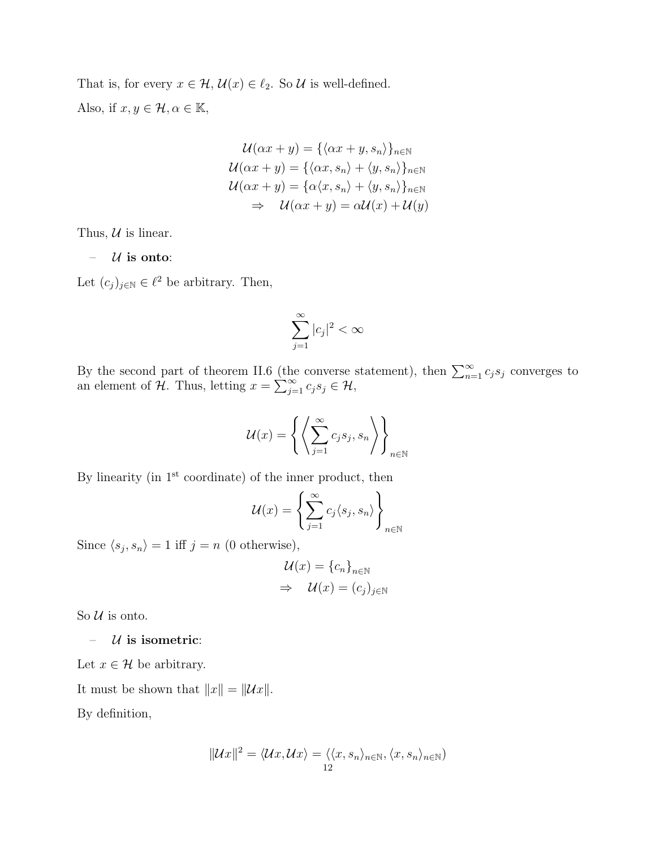That is, for every  $x \in \mathcal{H}$ ,  $\mathcal{U}(x) \in \ell_2$ . So  $\mathcal{U}$  is well-defined. Also, if  $x, y \in \mathcal{H}, \alpha \in \mathbb{K}$ ,

$$
\mathcal{U}(\alpha x + y) = \{\langle \alpha x + y, s_n \rangle\}_{n \in \mathbb{N}}
$$

$$
\mathcal{U}(\alpha x + y) = \{\langle \alpha x, s_n \rangle + \langle y, s_n \rangle\}_{n \in \mathbb{N}}
$$

$$
\mathcal{U}(\alpha x + y) = \{\alpha \langle x, s_n \rangle + \langle y, s_n \rangle\}_{n \in \mathbb{N}}
$$

$$
\Rightarrow \mathcal{U}(\alpha x + y) = \alpha \mathcal{U}(x) + \mathcal{U}(y)
$$

Thus,  $U$  is linear.

 $-$  *U* is onto:

Let  $(c_j)_{j\in\mathbb{N}}\in\ell^2$  be arbitrary. Then,

$$
\sum_{j=1}^{\infty} |c_j|^2 < \infty
$$

By the second part of theorem II.6 (the converse statement), then  $\sum_{n=1}^{\infty} c_j s_j$  converges to an element of  $\mathcal{H}$ . Thus, letting  $x = \sum_{j=1}^{\infty} c_j s_j \in \mathcal{H}$ ,

$$
\mathcal{U}(x) = \left\{ \left\langle \sum_{j=1}^{\infty} c_j s_j, s_n \right\rangle \right\}_{n \in \mathbb{N}}
$$

By linearity (in  $1<sup>st</sup>$  coordinate) of the inner product, then

$$
\mathcal{U}(x) = \left\{ \sum_{j=1}^{\infty} c_j \langle s_j, s_n \rangle \right\}_{n \in \mathbb{N}}
$$

Since  $\langle s_j, s_n \rangle = 1$  iff  $j = n$  (0 otherwise),

$$
\mathcal{U}(x) = \{c_n\}_{n \in \mathbb{N}}
$$

$$
\Rightarrow \mathcal{U}(x) = (c_j)_{j \in \mathbb{N}}
$$

So  $U$  is onto.

 $-$  *U* is isometric:

Let  $x \in \mathcal{H}$  be arbitrary.

It must be shown that  $||x|| = ||Ux||$ .

By definition,

$$
||\mathcal{U}x||^2 = \langle \mathcal{U}x, \mathcal{U}x \rangle = \langle \langle x, s_n \rangle_{n \in \mathbb{N}}, \langle x, s_n \rangle_{n \in \mathbb{N}})
$$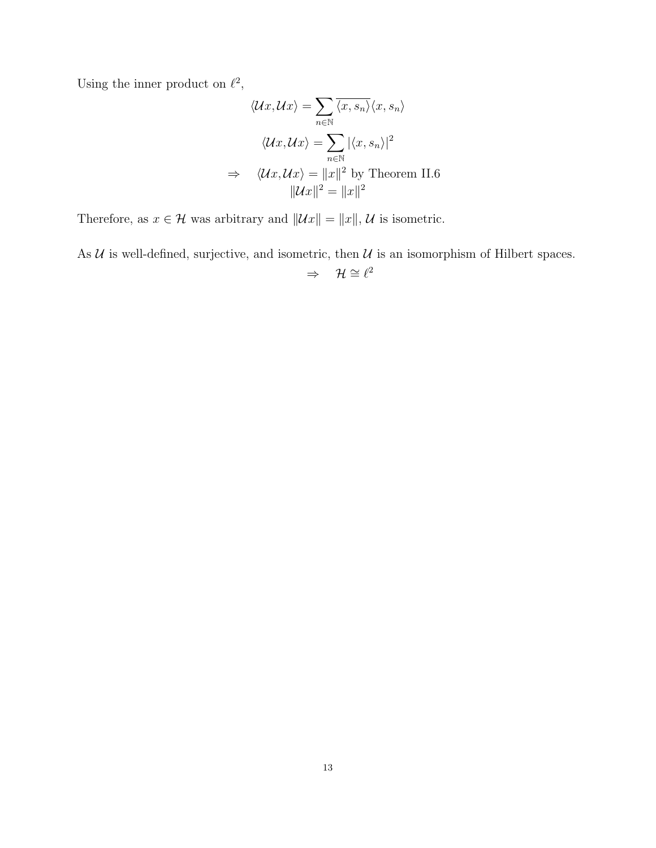Using the inner product on  $\ell^2$ ,

$$
\langle \mathcal{U}x, \mathcal{U}x \rangle = \sum_{n \in \mathbb{N}} \overline{\langle x, s_n \rangle} \langle x, s_n \rangle
$$

$$
\langle \mathcal{U}x, \mathcal{U}x \rangle = \sum_{n \in \mathbb{N}} |\langle x, s_n \rangle|^2
$$

$$
\Rightarrow \langle \mathcal{U}x, \mathcal{U}x \rangle = \|x\|^2 \text{ by Theorem II.6}
$$

$$
\|\mathcal{U}x\|^2 = \|x\|^2
$$

Therefore, as  $x \in \mathcal{H}$  was arbitrary and  $||\mathcal{U}x|| = ||x||$ ,  $\mathcal{U}$  is isometric.

As  $U$  is well-defined, surjective, and isometric, then  $U$  is an isomorphism of Hilbert spaces.  $\Rightarrow$   $\mathcal{H} \cong \ell^2$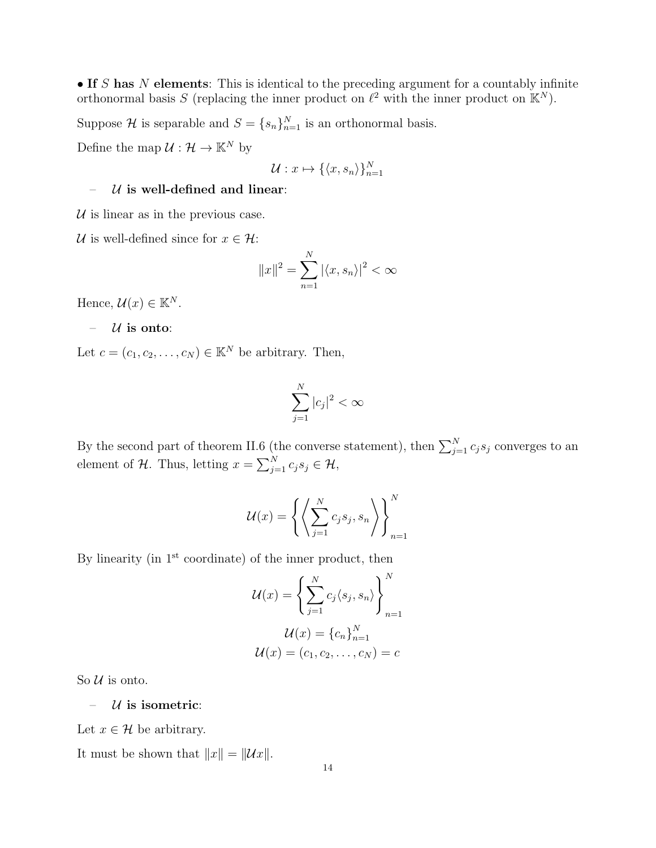• If S has N elements: This is identical to the preceding argument for a countably infinite orthonormal basis S (replacing the inner product on  $\ell^2$  with the inner product on  $\mathbb{K}^N$ ).

Suppose H is separable and  $S = \{s_n\}_{n=1}^N$  is an orthonormal basis.

Define the map  $\mathcal{U}: \mathcal{H} \to \mathbb{K}^N$  by

$$
\mathcal{U}: x \mapsto \{\langle x, s_n \rangle\}_{n=1}^N
$$

## $-$  *U* is well-defined and linear:

 $U$  is linear as in the previous case.

U is well-defined since for  $x \in \mathcal{H}$ :

$$
||x||^2 = \sum_{n=1}^{N} |\langle x, s_n \rangle|^2 < \infty
$$

Hence,  $\mathcal{U}(x) \in \mathbb{K}^N$ .

$$
- U \text{ is onto:}
$$

Let  $c = (c_1, c_2, \ldots, c_N) \in \mathbb{K}^N$  be arbitrary. Then,

$$
\sum_{j=1}^{N} |c_j|^2 < \infty
$$

By the second part of theorem II.6 (the converse statement), then  $\sum_{j=1}^{N} c_j s_j$  converges to an element of H. Thus, letting  $x = \sum_{j=1}^{N} c_j s_j \in \mathcal{H}$ ,

$$
\mathcal{U}(x) = \left\{ \left\langle \sum_{j=1}^{N} c_j s_j, s_n \right\rangle \right\}_{n=1}^{N}
$$

By linearity (in  $1<sup>st</sup>$  coordinate) of the inner product, then

$$
\mathcal{U}(x) = \left\{ \sum_{j=1}^{N} c_j \langle s_j, s_n \rangle \right\}_{n=1}^{N}
$$

$$
\mathcal{U}(x) = \left\{ c_n \right\}_{n=1}^{N}
$$

$$
\mathcal{U}(x) = (c_1, c_2, \dots, c_N) = c
$$

So  $U$  is onto.

 $-$  *U* is isometric:

Let  $x \in \mathcal{H}$  be arbitrary.

It must be shown that  $||x|| = ||Ux||$ .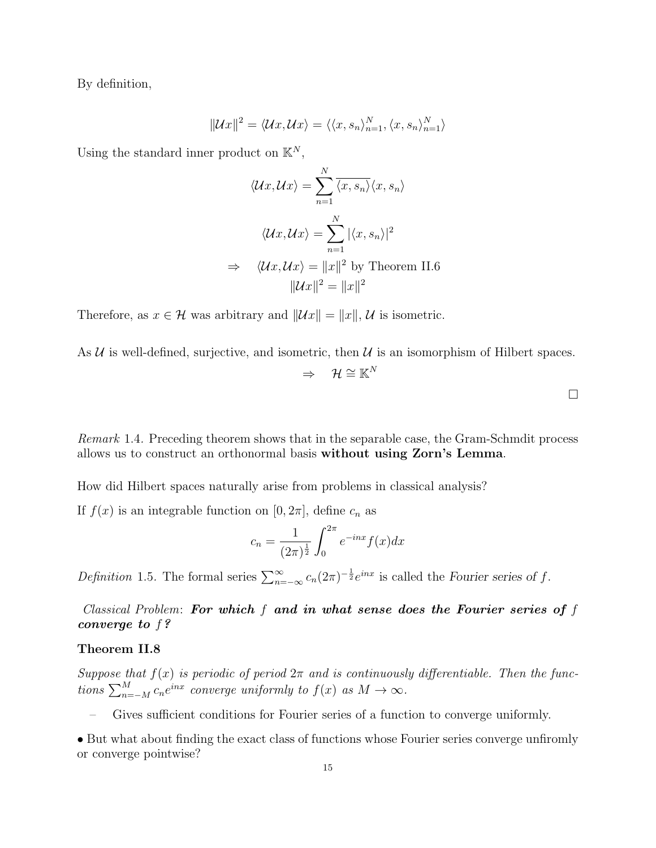By definition,

$$
||\mathcal{U}x||^2 = \langle \mathcal{U}x, \mathcal{U}x \rangle = \langle \langle x, s_n \rangle_{n=1}^N, \langle x, s_n \rangle_{n=1}^N \rangle
$$

Using the standard inner product on  $\mathbb{K}^N$ ,

$$
\langle \mathcal{U}x, \mathcal{U}x \rangle = \sum_{n=1}^{N} \overline{\langle x, s_n \rangle} \langle x, s_n \rangle
$$

$$
\langle \mathcal{U}x, \mathcal{U}x \rangle = \sum_{n=1}^{N} |\langle x, s_n \rangle|^2
$$

$$
\Rightarrow \quad \langle \mathcal{U}x, \mathcal{U}x \rangle = \|x\|^2 \text{ by Theorem II.6}
$$

$$
\|\mathcal{U}x\|^2 = \|x\|^2
$$

Therefore, as  $x \in \mathcal{H}$  was arbitrary and  $||\mathcal{U}x|| = ||x||$ , U is isometric.

As  $U$  is well-defined, surjective, and isometric, then  $U$  is an isomorphism of Hilbert spaces.

$$
\Rightarrow \quad \mathcal{H} \cong \mathbb{K}^N
$$

Remark 1.4. Preceding theorem shows that in the separable case, the Gram-Schmdit process allows us to construct an orthonormal basis without using Zorn's Lemma.

How did Hilbert spaces naturally arise from problems in classical analysis?

If  $f(x)$  is an integrable function on  $[0, 2\pi]$ , define  $c_n$  as

$$
c_n = \frac{1}{(2\pi)^{\frac{1}{2}}} \int_0^{2\pi} e^{-inx} f(x) dx
$$

Definition 1.5. The formal series  $\sum_{n=-\infty}^{\infty} c_n (2\pi)^{-\frac{1}{2}} e^{inx}$  is called the Fourier series of f.

Classical Problem: For which  $f$  and in what sense does the Fourier series of  $f$ converge to f?

## Theorem II.8

Suppose that  $f(x)$  is periodic of period  $2\pi$  and is continuously differentiable. Then the functions  $\sum_{n=-M}^{M} c_n e^{inx}$  converge uniformly to  $f(x)$  as  $M \to \infty$ .

– Gives sufficient conditions for Fourier series of a function to converge uniformly.

• But what about finding the exact class of functions whose Fourier series converge unfiromly or converge pointwise?